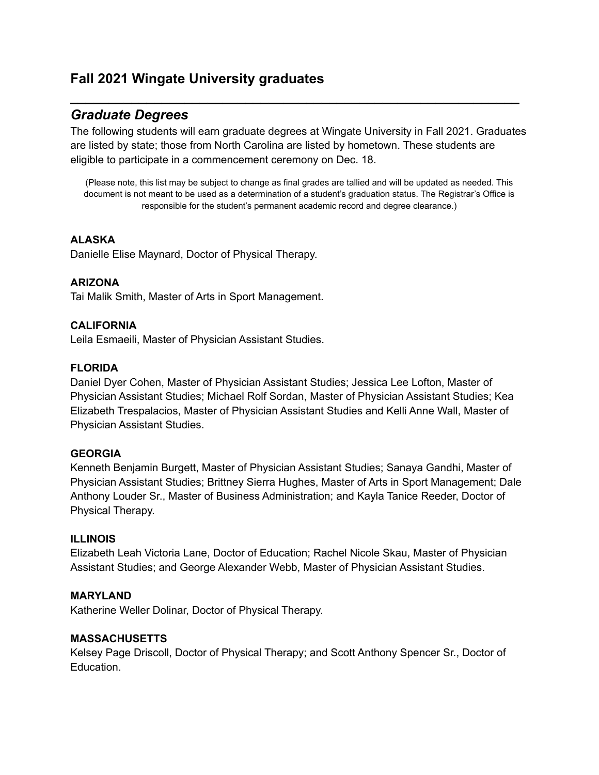# **Fall 2021 Wingate University graduates**

# *Graduate Degrees*

The following students will earn graduate degrees at Wingate University in Fall 2021. Graduates are listed by state; those from North Carolina are listed by hometown. These students are eligible to participate in a commencement ceremony on Dec. 18.

**\_\_\_\_\_\_\_\_\_\_\_\_\_\_\_\_\_\_\_\_\_\_\_\_\_\_\_\_\_\_\_\_\_\_\_\_\_\_\_\_\_\_\_\_\_\_\_\_\_\_\_\_\_\_\_\_\_\_\_**

(Please note, this list may be subject to change as final grades are tallied and will be updated as needed. This document is not meant to be used as a determination of a student's graduation status. The Registrar's Office is responsible for the student's permanent academic record and degree clearance.)

### **ALASKA**

Danielle Elise Maynard, Doctor of Physical Therapy.

### **ARIZONA**

Tai Malik Smith, Master of Arts in Sport Management.

#### **CALIFORNIA**

Leila Esmaeili, Master of Physician Assistant Studies.

#### **FLORIDA**

Daniel Dyer Cohen, Master of Physician Assistant Studies; Jessica Lee Lofton, Master of Physician Assistant Studies; Michael Rolf Sordan, Master of Physician Assistant Studies; Kea Elizabeth Trespalacios, Master of Physician Assistant Studies and Kelli Anne Wall, Master of Physician Assistant Studies.

#### **GEORGIA**

Kenneth Benjamin Burgett, Master of Physician Assistant Studies; Sanaya Gandhi, Master of Physician Assistant Studies; Brittney Sierra Hughes, Master of Arts in Sport Management; Dale Anthony Louder Sr., Master of Business Administration; and Kayla Tanice Reeder, Doctor of Physical Therapy.

### **ILLINOIS**

Elizabeth Leah Victoria Lane, Doctor of Education; Rachel Nicole Skau, Master of Physician Assistant Studies; and George Alexander Webb, Master of Physician Assistant Studies.

### **MARYLAND**

Katherine Weller Dolinar, Doctor of Physical Therapy.

#### **MASSACHUSETTS**

Kelsey Page Driscoll, Doctor of Physical Therapy; and Scott Anthony Spencer Sr., Doctor of Education.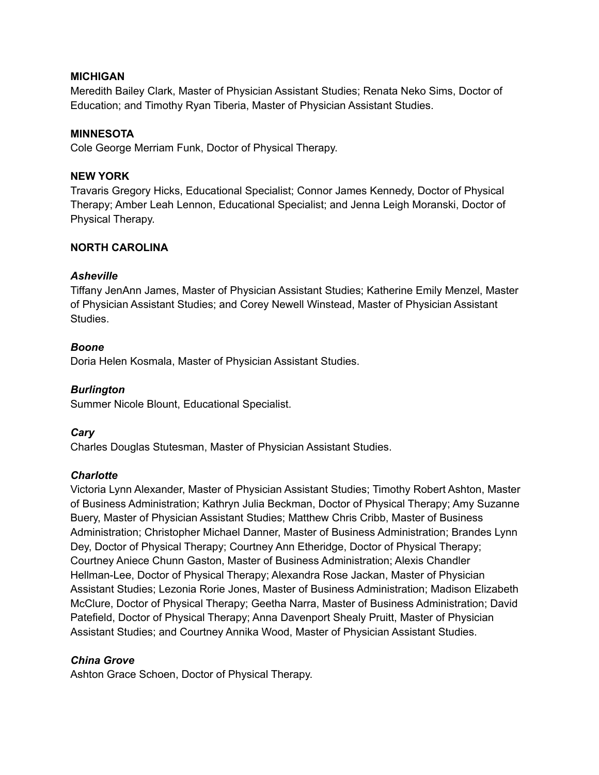### **MICHIGAN**

Meredith Bailey Clark, Master of Physician Assistant Studies; Renata Neko Sims, Doctor of Education; and Timothy Ryan Tiberia, Master of Physician Assistant Studies.

#### **MINNESOTA**

Cole George Merriam Funk, Doctor of Physical Therapy.

#### **NEW YORK**

Travaris Gregory Hicks, Educational Specialist; Connor James Kennedy, Doctor of Physical Therapy; Amber Leah Lennon, Educational Specialist; and Jenna Leigh Moranski, Doctor of Physical Therapy.

#### **NORTH CAROLINA**

#### *Asheville*

Tiffany JenAnn James, Master of Physician Assistant Studies; Katherine Emily Menzel, Master of Physician Assistant Studies; and Corey Newell Winstead, Master of Physician Assistant Studies.

#### *Boone*

Doria Helen Kosmala, Master of Physician Assistant Studies.

### *Burlington*

Summer Nicole Blount, Educational Specialist.

### *Cary*

Charles Douglas Stutesman, Master of Physician Assistant Studies.

#### *Charlotte*

Victoria Lynn Alexander, Master of Physician Assistant Studies; Timothy Robert Ashton, Master of Business Administration; Kathryn Julia Beckman, Doctor of Physical Therapy; Amy Suzanne Buery, Master of Physician Assistant Studies; Matthew Chris Cribb, Master of Business Administration; Christopher Michael Danner, Master of Business Administration; Brandes Lynn Dey, Doctor of Physical Therapy; Courtney Ann Etheridge, Doctor of Physical Therapy; Courtney Aniece Chunn Gaston, Master of Business Administration; Alexis Chandler Hellman-Lee, Doctor of Physical Therapy; Alexandra Rose Jackan, Master of Physician Assistant Studies; Lezonia Rorie Jones, Master of Business Administration; Madison Elizabeth McClure, Doctor of Physical Therapy; Geetha Narra, Master of Business Administration; David Patefield, Doctor of Physical Therapy; Anna Davenport Shealy Pruitt, Master of Physician Assistant Studies; and Courtney Annika Wood, Master of Physician Assistant Studies.

### *China Grove*

Ashton Grace Schoen, Doctor of Physical Therapy.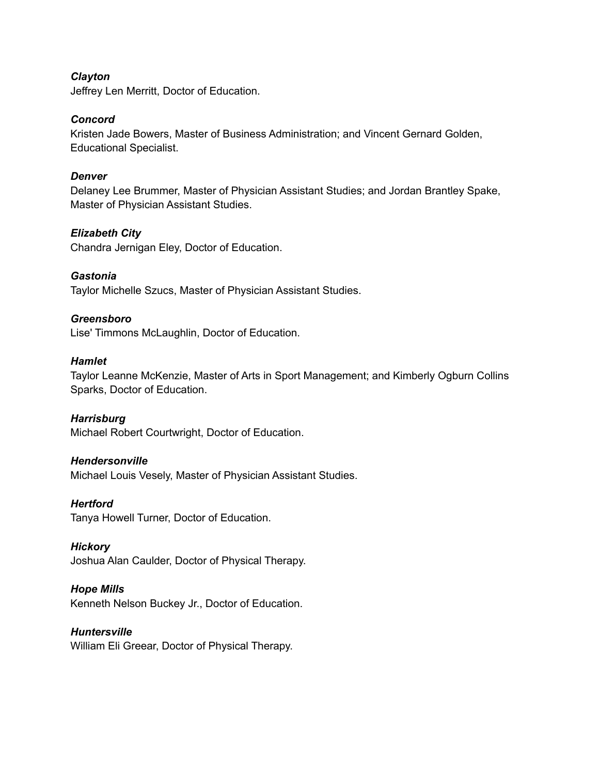### *Clayton*

Jeffrey Len Merritt, Doctor of Education.

#### *Concord*

Kristen Jade Bowers, Master of Business Administration; and Vincent Gernard Golden, Educational Specialist.

#### *Denver*

Delaney Lee Brummer, Master of Physician Assistant Studies; and Jordan Brantley Spake, Master of Physician Assistant Studies.

#### *Elizabeth City*

Chandra Jernigan Eley, Doctor of Education.

### *Gastonia*

Taylor Michelle Szucs, Master of Physician Assistant Studies.

#### *Greensboro*

Lise' Timmons McLaughlin, Doctor of Education.

### *Hamlet*

Taylor Leanne McKenzie, Master of Arts in Sport Management; and Kimberly Ogburn Collins Sparks, Doctor of Education.

#### *Harrisburg*

Michael Robert Courtwright, Doctor of Education.

#### *Hendersonville*

Michael Louis Vesely, Master of Physician Assistant Studies.

#### *Hertford*

Tanya Howell Turner, Doctor of Education.

#### *Hickory*

Joshua Alan Caulder, Doctor of Physical Therapy.

#### *Hope Mills*

Kenneth Nelson Buckey Jr., Doctor of Education.

### *Huntersville*

William Eli Greear, Doctor of Physical Therapy.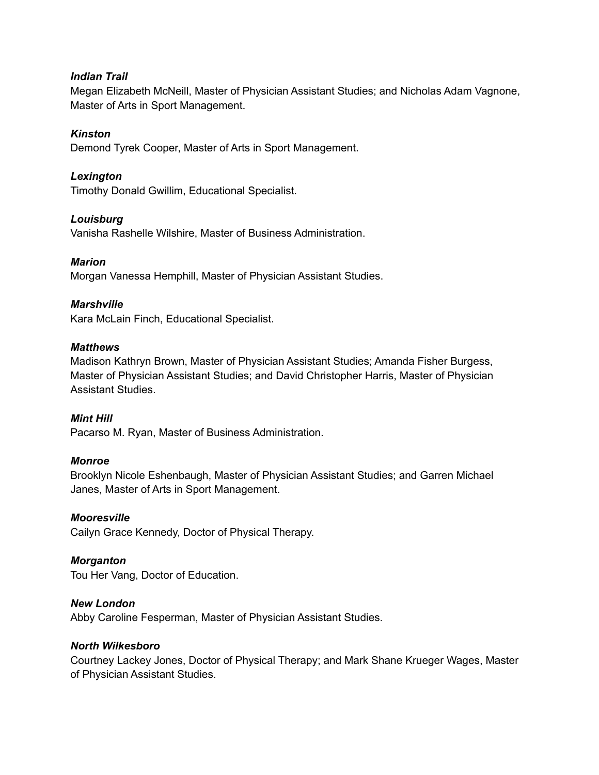### *Indian Trail*

Megan Elizabeth McNeill, Master of Physician Assistant Studies; and Nicholas Adam Vagnone, Master of Arts in Sport Management.

### *Kinston*

Demond Tyrek Cooper, Master of Arts in Sport Management.

#### *Lexington*

Timothy Donald Gwillim, Educational Specialist.

### *Louisburg*

Vanisha Rashelle Wilshire, Master of Business Administration.

#### *Marion*

Morgan Vanessa Hemphill, Master of Physician Assistant Studies.

### *Marshville*

Kara McLain Finch, Educational Specialist.

#### *Matthews*

Madison Kathryn Brown, Master of Physician Assistant Studies; Amanda Fisher Burgess, Master of Physician Assistant Studies; and David Christopher Harris, Master of Physician Assistant Studies.

### *Mint Hill*

Pacarso M. Ryan, Master of Business Administration.

#### *Monroe*

Brooklyn Nicole Eshenbaugh, Master of Physician Assistant Studies; and Garren Michael Janes, Master of Arts in Sport Management.

#### *Mooresville*

Cailyn Grace Kennedy, Doctor of Physical Therapy.

#### *Morganton*

Tou Her Vang, Doctor of Education.

### *New London*

Abby Caroline Fesperman, Master of Physician Assistant Studies.

#### *North Wilkesboro*

Courtney Lackey Jones, Doctor of Physical Therapy; and Mark Shane Krueger Wages, Master of Physician Assistant Studies.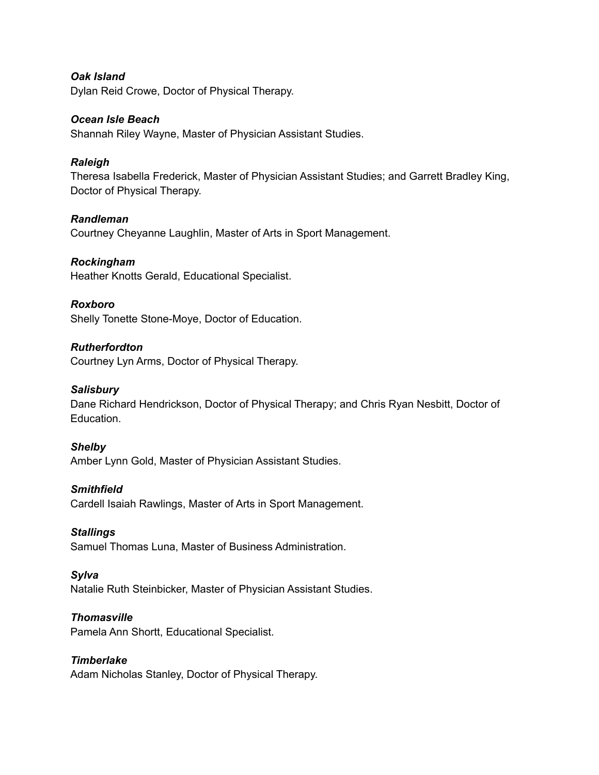*Oak Island* Dylan Reid Crowe, Doctor of Physical Therapy.

### *Ocean Isle Beach*

Shannah Riley Wayne, Master of Physician Assistant Studies.

### *Raleigh*

Theresa Isabella Frederick, Master of Physician Assistant Studies; and Garrett Bradley King, Doctor of Physical Therapy.

### *Randleman*

Courtney Cheyanne Laughlin, Master of Arts in Sport Management.

### *Rockingham*

Heather Knotts Gerald, Educational Specialist.

### *Roxboro*

Shelly Tonette Stone-Moye, Doctor of Education.

### *Rutherfordton*

Courtney Lyn Arms, Doctor of Physical Therapy.

### *Salisbury*

Dane Richard Hendrickson, Doctor of Physical Therapy; and Chris Ryan Nesbitt, Doctor of Education.

### *Shelby*

Amber Lynn Gold, Master of Physician Assistant Studies.

### *Smithfield*

Cardell Isaiah Rawlings, Master of Arts in Sport Management.

### *Stallings*

Samuel Thomas Luna, Master of Business Administration.

### *Sylva*

Natalie Ruth Steinbicker, Master of Physician Assistant Studies.

### *Thomasville*

Pamela Ann Shortt, Educational Specialist.

### *Timberlake*

Adam Nicholas Stanley, Doctor of Physical Therapy.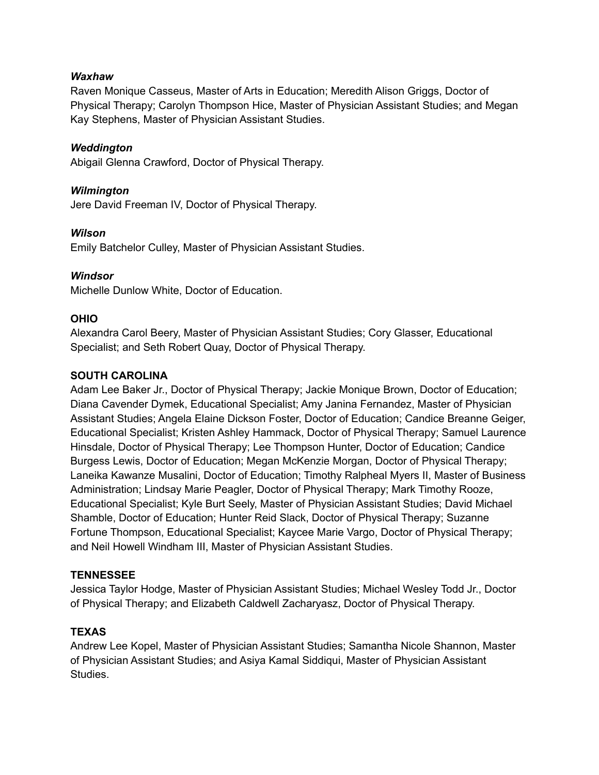### *Waxhaw*

Raven Monique Casseus, Master of Arts in Education; Meredith Alison Griggs, Doctor of Physical Therapy; Carolyn Thompson Hice, Master of Physician Assistant Studies; and Megan Kay Stephens, Master of Physician Assistant Studies.

### *Weddington*

Abigail Glenna Crawford, Doctor of Physical Therapy.

### *Wilmington*

Jere David Freeman IV, Doctor of Physical Therapy.

### *Wilson*

Emily Batchelor Culley, Master of Physician Assistant Studies.

### *Windsor*

Michelle Dunlow White, Doctor of Education.

### **OHIO**

Alexandra Carol Beery, Master of Physician Assistant Studies; Cory Glasser, Educational Specialist; and Seth Robert Quay, Doctor of Physical Therapy.

### **SOUTH CAROLINA**

Adam Lee Baker Jr., Doctor of Physical Therapy; Jackie Monique Brown, Doctor of Education; Diana Cavender Dymek, Educational Specialist; Amy Janina Fernandez, Master of Physician Assistant Studies; Angela Elaine Dickson Foster, Doctor of Education; Candice Breanne Geiger, Educational Specialist; Kristen Ashley Hammack, Doctor of Physical Therapy; Samuel Laurence Hinsdale, Doctor of Physical Therapy; Lee Thompson Hunter, Doctor of Education; Candice Burgess Lewis, Doctor of Education; Megan McKenzie Morgan, Doctor of Physical Therapy; Laneika Kawanze Musalini, Doctor of Education; Timothy Ralpheal Myers II, Master of Business Administration; Lindsay Marie Peagler, Doctor of Physical Therapy; Mark Timothy Rooze, Educational Specialist; Kyle Burt Seely, Master of Physician Assistant Studies; David Michael Shamble, Doctor of Education; Hunter Reid Slack, Doctor of Physical Therapy; Suzanne Fortune Thompson, Educational Specialist; Kaycee Marie Vargo, Doctor of Physical Therapy; and Neil Howell Windham III, Master of Physician Assistant Studies.

### **TENNESSEE**

Jessica Taylor Hodge, Master of Physician Assistant Studies; Michael Wesley Todd Jr., Doctor of Physical Therapy; and Elizabeth Caldwell Zacharyasz, Doctor of Physical Therapy.

### **TEXAS**

Andrew Lee Kopel, Master of Physician Assistant Studies; Samantha Nicole Shannon, Master of Physician Assistant Studies; and Asiya Kamal Siddiqui, Master of Physician Assistant Studies.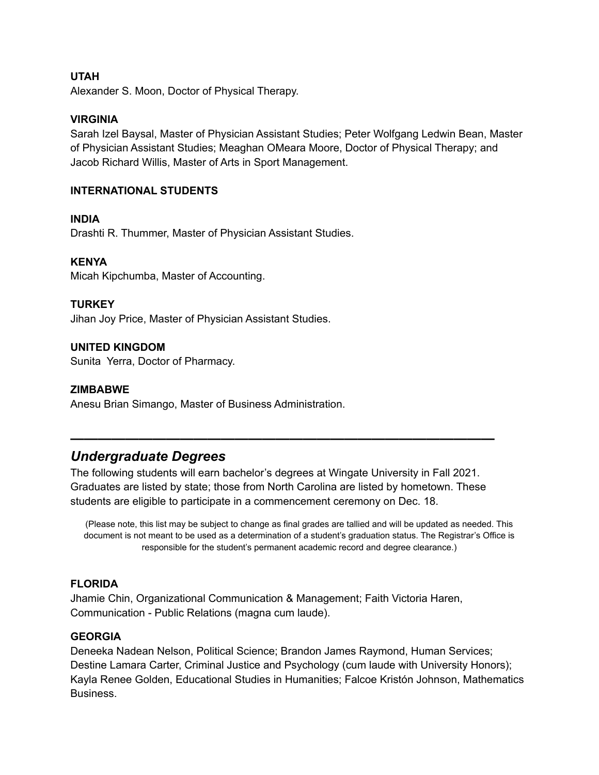### **UTAH**

Alexander S. Moon, Doctor of Physical Therapy.

### **VIRGINIA**

Sarah Izel Baysal, Master of Physician Assistant Studies; Peter Wolfgang Ledwin Bean, Master of Physician Assistant Studies; Meaghan OMeara Moore, Doctor of Physical Therapy; and Jacob Richard Willis, Master of Arts in Sport Management.

#### **INTERNATIONAL STUDENTS**

#### **INDIA**

Drashti R. Thummer, Master of Physician Assistant Studies.

#### **KENYA**

Micah Kipchumba, Master of Accounting.

#### **TURKEY**

Jihan Joy Price, Master of Physician Assistant Studies.

#### **UNITED KINGDOM**

Sunita Yerra, Doctor of Pharmacy.

#### **ZIMBABWE**

Anesu Brian Simango, Master of Business Administration.

# *Undergraduate Degrees*

The following students will earn bachelor's degrees at Wingate University in Fall 2021. Graduates are listed by state; those from North Carolina are listed by hometown. These students are eligible to participate in a commencement ceremony on Dec. 18.

**———————————————————————————————**

(Please note, this list may be subject to change as final grades are tallied and will be updated as needed. This document is not meant to be used as a determination of a student's graduation status. The Registrar's Office is responsible for the student's permanent academic record and degree clearance.)

### **FLORIDA**

Jhamie Chin, Organizational Communication & Management; Faith Victoria Haren, Communication - Public Relations (magna cum laude).

#### **GEORGIA**

Deneeka Nadean Nelson, Political Science; Brandon James Raymond, Human Services; Destine Lamara Carter, Criminal Justice and Psychology (cum laude with University Honors); Kayla Renee Golden, Educational Studies in Humanities; Falcoe Kristón Johnson, Mathematics Business.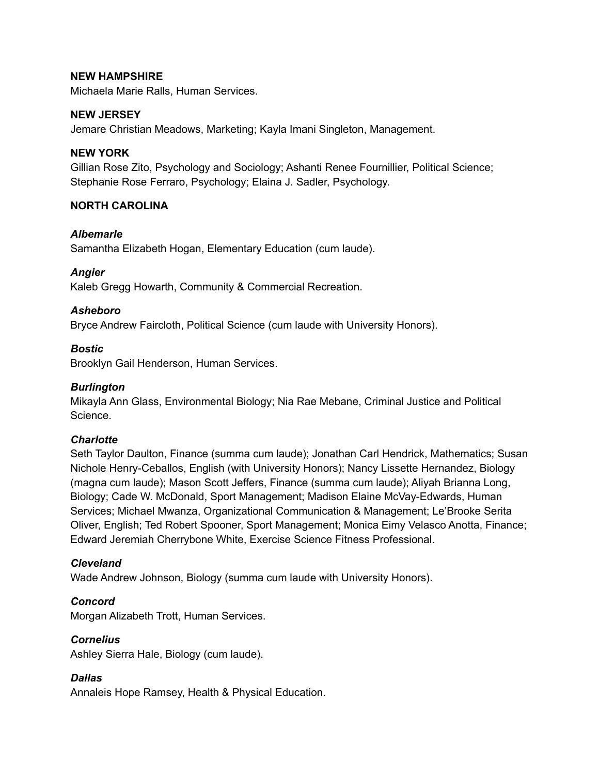### **NEW HAMPSHIRE**

Michaela Marie Ralls, Human Services.

### **NEW JERSEY**

Jemare Christian Meadows, Marketing; Kayla Imani Singleton, Management.

#### **NEW YORK**

Gillian Rose Zito, Psychology and Sociology; Ashanti Renee Fournillier, Political Science; Stephanie Rose Ferraro, Psychology; Elaina J. Sadler, Psychology.

### **NORTH CAROLINA**

#### *Albemarle*

Samantha Elizabeth Hogan, Elementary Education (cum laude).

### *Angier*

Kaleb Gregg Howarth, Community & Commercial Recreation.

#### *Asheboro*

Bryce Andrew Faircloth, Political Science (cum laude with University Honors).

#### *Bostic*

Brooklyn Gail Henderson, Human Services.

#### *Burlington*

Mikayla Ann Glass, Environmental Biology; Nia Rae Mebane, Criminal Justice and Political Science.

#### *Charlotte*

Seth Taylor Daulton, Finance (summa cum laude); Jonathan Carl Hendrick, Mathematics; Susan Nichole Henry-Ceballos, English (with University Honors); Nancy Lissette Hernandez, Biology (magna cum laude); Mason Scott Jeffers, Finance (summa cum laude); Aliyah Brianna Long, Biology; Cade W. McDonald, Sport Management; Madison Elaine McVay-Edwards, Human Services; Michael Mwanza, Organizational Communication & Management; Le'Brooke Serita Oliver, English; Ted Robert Spooner, Sport Management; Monica Eimy Velasco Anotta, Finance; Edward Jeremiah Cherrybone White, Exercise Science Fitness Professional.

### *Cleveland*

Wade Andrew Johnson, Biology (summa cum laude with University Honors).

### *Concord*

Morgan Alizabeth Trott, Human Services.

#### *Cornelius*

Ashley Sierra Hale, Biology (cum laude).

### *Dallas*

Annaleis Hope Ramsey, Health & Physical Education.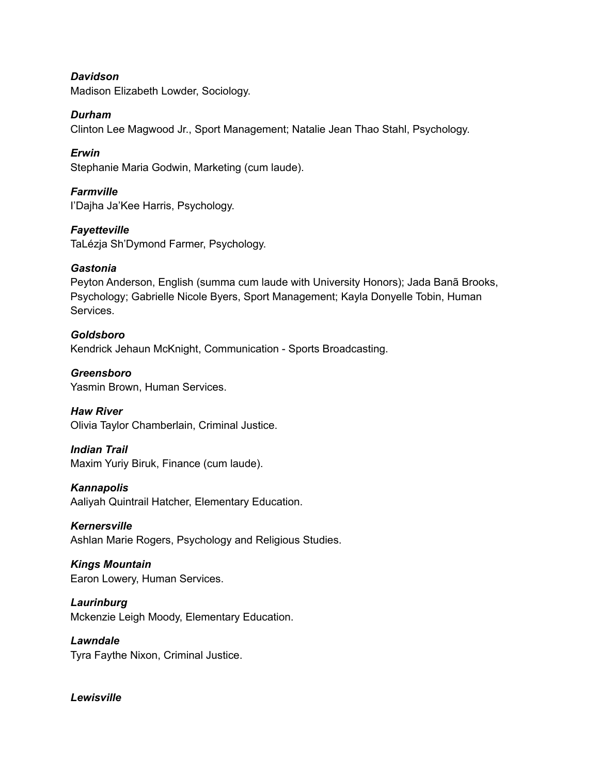*Davidson* Madison Elizabeth Lowder, Sociology.

*Durham*

Clinton Lee Magwood Jr., Sport Management; Natalie Jean Thao Stahl, Psychology.

*Erwin* Stephanie Maria Godwin, Marketing (cum laude).

*Farmville* I'Dajha Ja'Kee Harris, Psychology.

*Fayetteville* TaLézja Sh'Dymond Farmer, Psychology.

### *Gastonia*

Peyton Anderson, English (summa cum laude with University Honors); Jada Banã Brooks, Psychology; Gabrielle Nicole Byers, Sport Management; Kayla Donyelle Tobin, Human Services.

*Goldsboro* Kendrick Jehaun McKnight, Communication - Sports Broadcasting.

*Greensboro* Yasmin Brown, Human Services.

*Haw River* Olivia Taylor Chamberlain, Criminal Justice.

*Indian Trail*

Maxim Yuriy Biruk, Finance (cum laude).

*Kannapolis*

Aaliyah Quintrail Hatcher, Elementary Education.

*Kernersville* Ashlan Marie Rogers, Psychology and Religious Studies.

*Kings Mountain* Earon Lowery, Human Services.

*Laurinburg* Mckenzie Leigh Moody, Elementary Education.

*Lawndale* Tyra Faythe Nixon, Criminal Justice.

*Lewisville*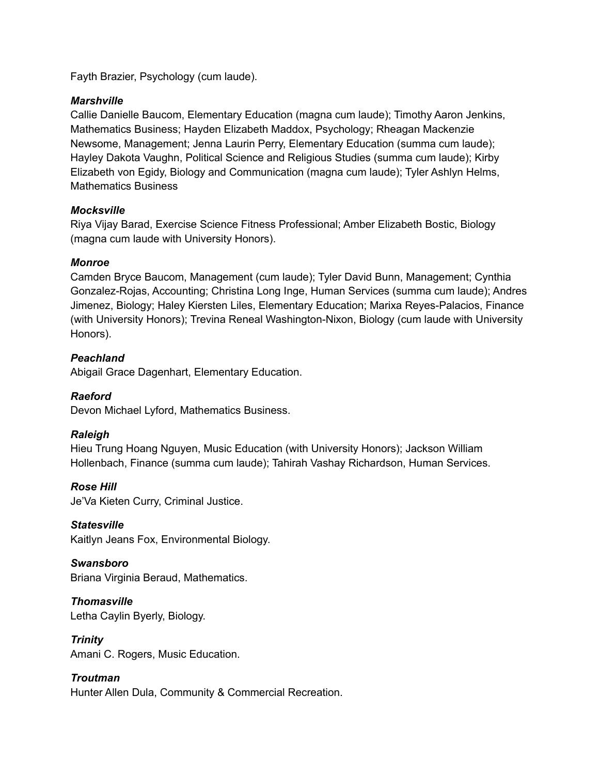Fayth Brazier, Psychology (cum laude).

### *Marshville*

Callie Danielle Baucom, Elementary Education (magna cum laude); Timothy Aaron Jenkins, Mathematics Business; Hayden Elizabeth Maddox, Psychology; Rheagan Mackenzie Newsome, Management; Jenna Laurin Perry, Elementary Education (summa cum laude); Hayley Dakota Vaughn, Political Science and Religious Studies (summa cum laude); Kirby Elizabeth von Egidy, Biology and Communication (magna cum laude); Tyler Ashlyn Helms, Mathematics Business

## *Mocksville*

Riya Vijay Barad, Exercise Science Fitness Professional; Amber Elizabeth Bostic, Biology (magna cum laude with University Honors).

## *Monroe*

Camden Bryce Baucom, Management (cum laude); Tyler David Bunn, Management; Cynthia Gonzalez-Rojas, Accounting; Christina Long Inge, Human Services (summa cum laude); Andres Jimenez, Biology; Haley Kiersten Liles, Elementary Education; Marixa Reyes-Palacios, Finance (with University Honors); Trevina Reneal Washington-Nixon, Biology (cum laude with University Honors).

## *Peachland*

Abigail Grace Dagenhart, Elementary Education.

## *Raeford*

Devon Michael Lyford, Mathematics Business.

## *Raleigh*

Hieu Trung Hoang Nguyen, Music Education (with University Honors); Jackson William Hollenbach, Finance (summa cum laude); Tahirah Vashay Richardson, Human Services.

### *Rose Hill*

Je'Va Kieten Curry, Criminal Justice.

## *Statesville*

Kaitlyn Jeans Fox, Environmental Biology.

*Swansboro* Briana Virginia Beraud, Mathematics.

*Thomasville* Letha Caylin Byerly, Biology.

*Trinity* Amani C. Rogers, Music Education.

*Troutman* Hunter Allen Dula, Community & Commercial Recreation.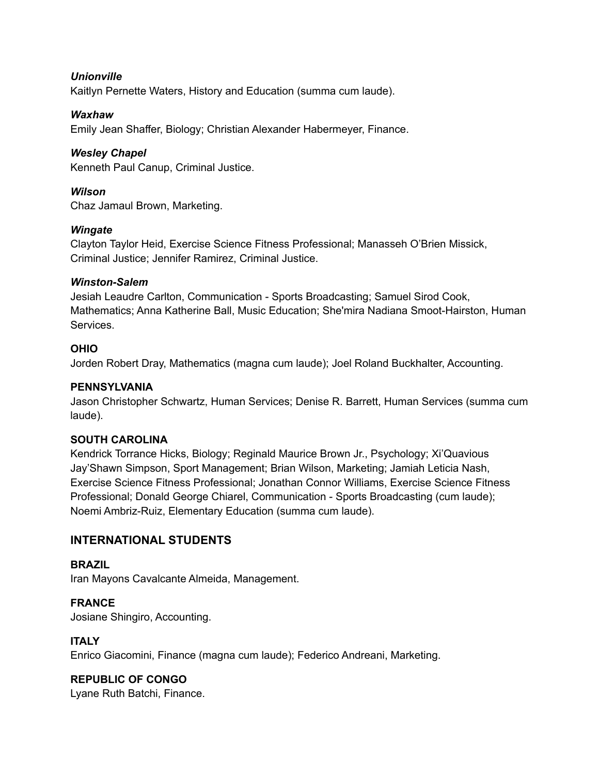### *Unionville*

Kaitlyn Pernette Waters, History and Education (summa cum laude).

### *Waxhaw*

Emily Jean Shaffer, Biology; Christian Alexander Habermeyer, Finance.

### *Wesley Chapel*

Kenneth Paul Canup, Criminal Justice.

### *Wilson*

Chaz Jamaul Brown, Marketing.

### *Wingate*

Clayton Taylor Heid, Exercise Science Fitness Professional; Manasseh O'Brien Missick, Criminal Justice; Jennifer Ramirez, Criminal Justice.

### *Winston-Salem*

Jesiah Leaudre Carlton, Communication - Sports Broadcasting; Samuel Sirod Cook, Mathematics; Anna Katherine Ball, Music Education; She'mira Nadiana Smoot-Hairston, Human Services.

### **OHIO**

Jorden Robert Dray, Mathematics (magna cum laude); Joel Roland Buckhalter, Accounting.

### **PENNSYLVANIA**

Jason Christopher Schwartz, Human Services; Denise R. Barrett, Human Services (summa cum laude).

### **SOUTH CAROLINA**

Kendrick Torrance Hicks, Biology; Reginald Maurice Brown Jr., Psychology; Xi'Quavious Jay'Shawn Simpson, Sport Management; Brian Wilson, Marketing; Jamiah Leticia Nash, Exercise Science Fitness Professional; Jonathan Connor Williams, Exercise Science Fitness Professional; Donald George Chiarel, Communication - Sports Broadcasting (cum laude); Noemi Ambriz-Ruiz, Elementary Education (summa cum laude).

### **INTERNATIONAL STUDENTS**

### **BRAZIL**

Iran Mayons Cavalcante Almeida, Management.

**FRANCE** Josiane Shingiro, Accounting.

### **ITALY**

Enrico Giacomini, Finance (magna cum laude); Federico Andreani, Marketing.

# **REPUBLIC OF CONGO**

Lyane Ruth Batchi, Finance.